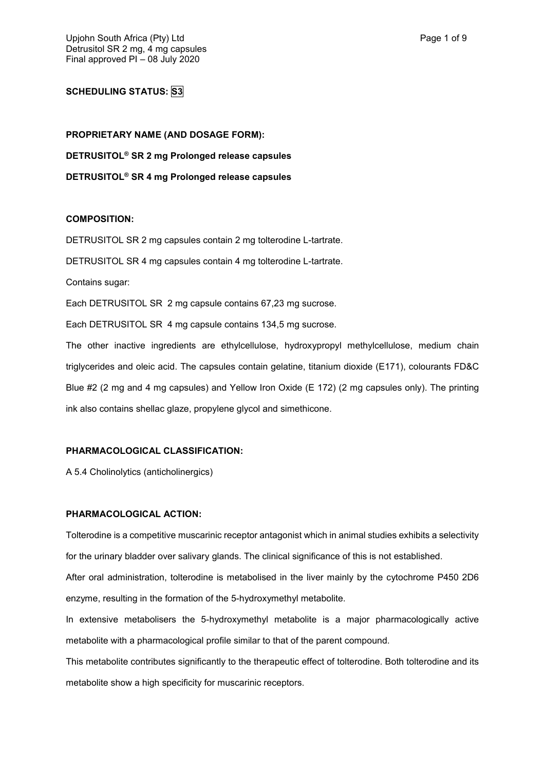# **SCHEDULING STATUS: S3**

**PROPRIETARY NAME (AND DOSAGE FORM): DETRUSITOL® SR 2 mg Prolonged release capsules DETRUSITOL® SR 4 mg Prolonged release capsules**

### **COMPOSITION:**

DETRUSITOL SR 2 mg capsules contain 2 mg tolterodine L-tartrate. DETRUSITOL SR 4 mg capsules contain 4 mg tolterodine L-tartrate. Contains sugar: Each DETRUSITOL SR 2 mg capsule contains 67,23 mg sucrose. Each DETRUSITOL SR 4 mg capsule contains 134,5 mg sucrose. The other inactive ingredients are ethylcellulose, hydroxypropyl methylcellulose, medium chain triglycerides and oleic acid. The capsules contain gelatine, titanium dioxide (E171), colourants FD&C Blue #2 (2 mg and 4 mg capsules) and Yellow Iron Oxide (E 172) (2 mg capsules only). The printing

#### **PHARMACOLOGICAL CLASSIFICATION:**

ink also contains shellac glaze, propylene glycol and simethicone.

A 5.4 Cholinolytics (anticholinergics)

#### **PHARMACOLOGICAL ACTION:**

Tolterodine is a competitive muscarinic receptor antagonist which in animal studies exhibits a selectivity for the urinary bladder over salivary glands. The clinical significance of this is not established.

After oral administration, tolterodine is metabolised in the liver mainly by the cytochrome P450 2D6 enzyme, resulting in the formation of the 5-hydroxymethyl metabolite.

In extensive metabolisers the 5-hydroxymethyl metabolite is a major pharmacologically active metabolite with a pharmacological profile similar to that of the parent compound.

This metabolite contributes significantly to the therapeutic effect of tolterodine. Both tolterodine and its metabolite show a high specificity for muscarinic receptors.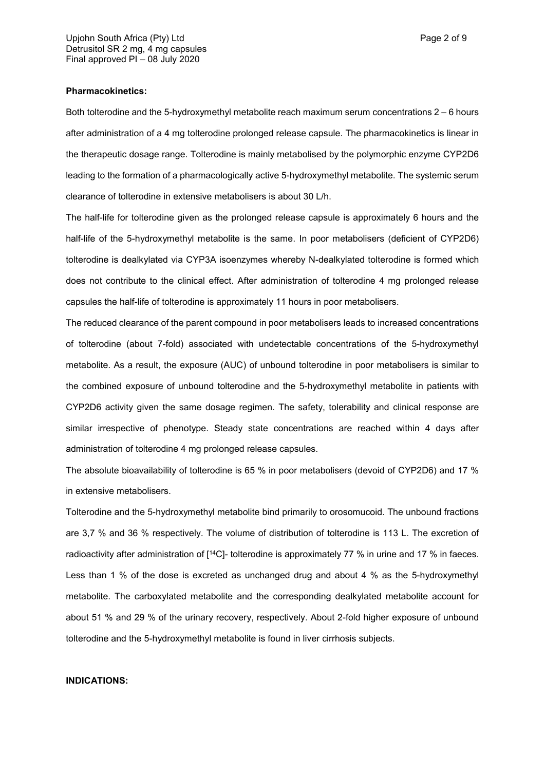Both tolterodine and the 5-hydroxymethyl metabolite reach maximum serum concentrations 2 – 6 hours after administration of a 4 mg tolterodine prolonged release capsule. The pharmacokinetics is linear in the therapeutic dosage range. Tolterodine is mainly metabolised by the polymorphic enzyme CYP2D6 leading to the formation of a pharmacologically active 5-hydroxymethyl metabolite. The systemic serum clearance of tolterodine in extensive metabolisers is about 30 L/h.

The half-life for tolterodine given as the prolonged release capsule is approximately 6 hours and the half-life of the 5-hydroxymethyl metabolite is the same. In poor metabolisers (deficient of CYP2D6) tolterodine is dealkylated via CYP3A isoenzymes whereby N-dealkylated tolterodine is formed which does not contribute to the clinical effect. After administration of tolterodine 4 mg prolonged release capsules the half-life of tolterodine is approximately 11 hours in poor metabolisers.

The reduced clearance of the parent compound in poor metabolisers leads to increased concentrations of tolterodine (about 7-fold) associated with undetectable concentrations of the 5-hydroxymethyl metabolite. As a result, the exposure (AUC) of unbound tolterodine in poor metabolisers is similar to the combined exposure of unbound tolterodine and the 5-hydroxymethyl metabolite in patients with CYP2D6 activity given the same dosage regimen. The safety, tolerability and clinical response are similar irrespective of phenotype. Steady state concentrations are reached within 4 days after administration of tolterodine 4 mg prolonged release capsules.

The absolute bioavailability of tolterodine is 65 % in poor metabolisers (devoid of CYP2D6) and 17 % in extensive metabolisers.

Tolterodine and the 5-hydroxymethyl metabolite bind primarily to orosomucoid. The unbound fractions are 3,7 % and 36 % respectively. The volume of distribution of tolterodine is 113 L. The excretion of radioactivity after administration of [<sup>14</sup>C]- tolterodine is approximately 77 % in urine and 17 % in faeces. Less than 1 % of the dose is excreted as unchanged drug and about 4 % as the 5-hydroxymethyl metabolite. The carboxylated metabolite and the corresponding dealkylated metabolite account for about 51 % and 29 % of the urinary recovery, respectively. About 2-fold higher exposure of unbound tolterodine and the 5-hydroxymethyl metabolite is found in liver cirrhosis subjects.

#### **INDICATIONS:**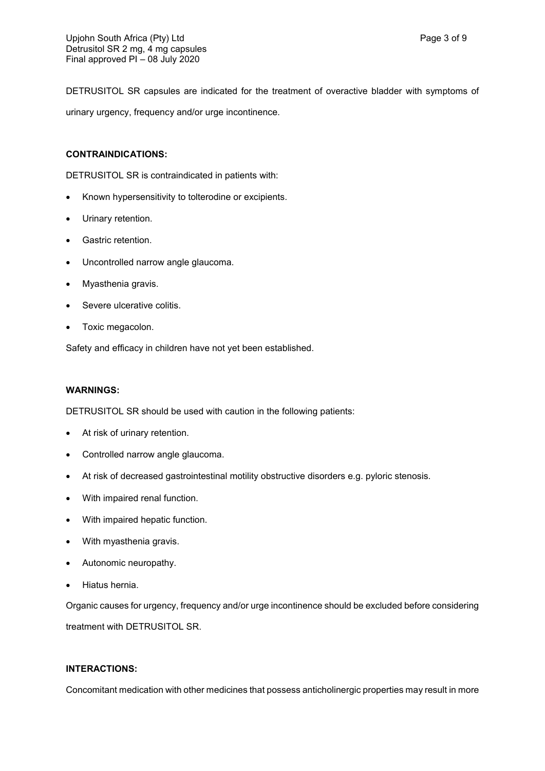DETRUSITOL SR capsules are indicated for the treatment of overactive bladder with symptoms of urinary urgency, frequency and/or urge incontinence.

### **CONTRAINDICATIONS:**

DETRUSITOL SR is contraindicated in patients with:

- Known hypersensitivity to tolterodine or excipients.
- Urinary retention.
- **•** Gastric retention.
- Uncontrolled narrow angle glaucoma.
- Myasthenia gravis.
- Severe ulcerative colitis.
- Toxic megacolon.

Safety and efficacy in children have not yet been established.

#### **WARNINGS:**

DETRUSITOL SR should be used with caution in the following patients:

- At risk of urinary retention.
- Controlled narrow angle glaucoma.
- At risk of decreased gastrointestinal motility obstructive disorders e.g. pyloric stenosis.
- With impaired renal function.
- With impaired hepatic function.
- With myasthenia gravis.
- Autonomic neuropathy.
- Hiatus hernia.

Organic causes for urgency, frequency and/or urge incontinence should be excluded before considering treatment with DETRUSITOL SR.

# **INTERACTIONS:**

Concomitant medication with other medicines that possess anticholinergic properties may result in more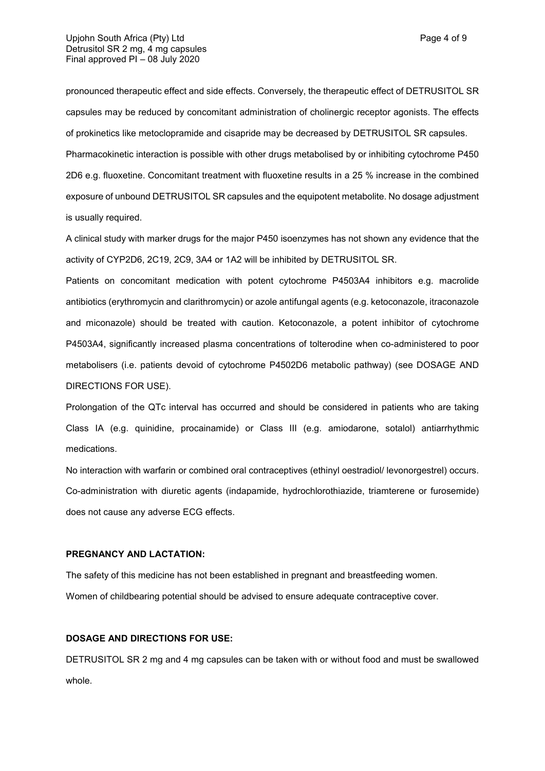pronounced therapeutic effect and side effects. Conversely, the therapeutic effect of DETRUSITOL SR capsules may be reduced by concomitant administration of cholinergic receptor agonists. The effects of prokinetics like metoclopramide and cisapride may be decreased by DETRUSITOL SR capsules. Pharmacokinetic interaction is possible with other drugs metabolised by or inhibiting cytochrome P450

2D6 e.g. fluoxetine. Concomitant treatment with fluoxetine results in a 25 % increase in the combined exposure of unbound DETRUSITOL SR capsules and the equipotent metabolite. No dosage adjustment is usually required.

A clinical study with marker drugs for the major P450 isoenzymes has not shown any evidence that the activity of CYP2D6, 2C19, 2C9, 3A4 or 1A2 will be inhibited by DETRUSITOL SR.

Patients on concomitant medication with potent cytochrome P4503A4 inhibitors e.g. macrolide antibiotics (erythromycin and clarithromycin) or azole antifungal agents (e.g. ketoconazole, itraconazole and miconazole) should be treated with caution. Ketoconazole, a potent inhibitor of cytochrome P4503A4, significantly increased plasma concentrations of tolterodine when co-administered to poor metabolisers (i.e. patients devoid of cytochrome P4502D6 metabolic pathway) (see DOSAGE AND DIRECTIONS FOR USE).

Prolongation of the QTc interval has occurred and should be considered in patients who are taking Class IA (e.g. quinidine, procainamide) or Class III (e.g. amiodarone, sotalol) antiarrhythmic medications.

No interaction with warfarin or combined oral contraceptives (ethinyl oestradiol/ levonorgestrel) occurs. Co-administration with diuretic agents (indapamide, hydrochlorothiazide, triamterene or furosemide) does not cause any adverse ECG effects.

#### **PREGNANCY AND LACTATION:**

The safety of this medicine has not been established in pregnant and breastfeeding women. Women of childbearing potential should be advised to ensure adequate contraceptive cover.

#### **DOSAGE AND DIRECTIONS FOR USE:**

DETRUSITOL SR 2 mg and 4 mg capsules can be taken with or without food and must be swallowed whole.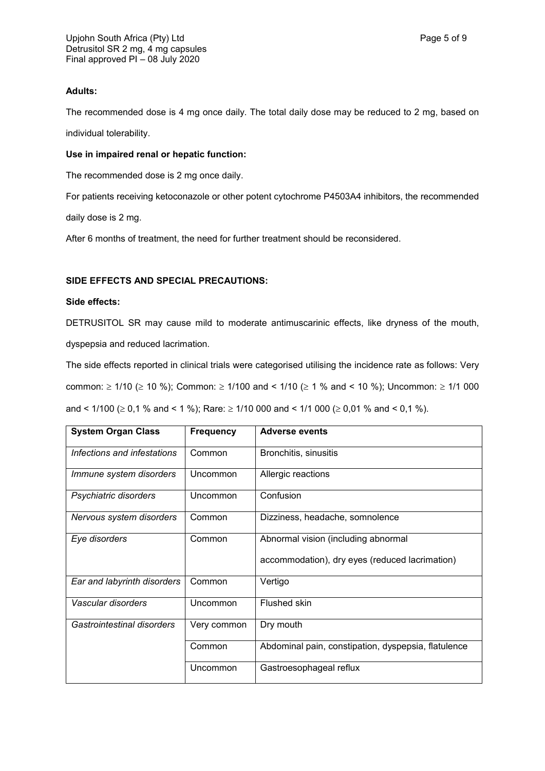# **Adults:**

The recommended dose is 4 mg once daily. The total daily dose may be reduced to 2 mg, based on individual tolerability.

### **Use in impaired renal or hepatic function:**

The recommended dose is 2 mg once daily.

For patients receiving ketoconazole or other potent cytochrome P4503A4 inhibitors, the recommended

daily dose is 2 mg.

After 6 months of treatment, the need for further treatment should be reconsidered.

### **SIDE EFFECTS AND SPECIAL PRECAUTIONS:**

#### **Side effects:**

DETRUSITOL SR may cause mild to moderate antimuscarinic effects, like dryness of the mouth, dyspepsia and reduced lacrimation.

The side effects reported in clinical trials were categorised utilising the incidence rate as follows: Very common:  $\geq$  1/10 ( $\geq$  10 %); Common:  $\geq$  1/100 and < 1/10 ( $\geq$  1 % and < 10 %); Uncommon:  $\geq$  1/1 000 and <  $1/100$  ( $\geq 0.1$  % and < 1 %); Rare:  $\geq 1/10$  000 and <  $1/1000$  ( $\geq 0.01$  % and < 0.1 %).

| <b>System Organ Class</b>   | <b>Frequency</b> | <b>Adverse events</b>                                                                 |
|-----------------------------|------------------|---------------------------------------------------------------------------------------|
| Infections and infestations | Common           | Bronchitis, sinusitis                                                                 |
| Immune system disorders     | Uncommon         | Allergic reactions                                                                    |
| Psychiatric disorders       | Uncommon         | Confusion                                                                             |
| Nervous system disorders    | Common           | Dizziness, headache, somnolence                                                       |
| Eye disorders               | Common           | Abnormal vision (including abnormal<br>accommodation), dry eyes (reduced lacrimation) |
| Ear and labyrinth disorders | Common           | Vertigo                                                                               |
| Vascular disorders          | Uncommon         | Flushed skin                                                                          |
| Gastrointestinal disorders  | Very common      | Dry mouth                                                                             |
|                             | Common           | Abdominal pain, constipation, dyspepsia, flatulence                                   |
|                             | Uncommon         | Gastroesophageal reflux                                                               |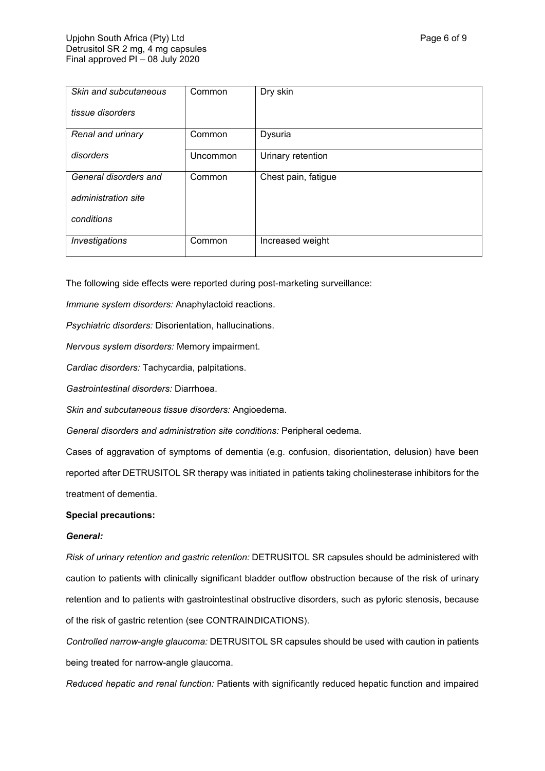| Skin and subcutaneous | Common   | Dry skin            |
|-----------------------|----------|---------------------|
| tissue disorders      |          |                     |
| Renal and urinary     | Common   | Dysuria             |
| disorders             | Uncommon | Urinary retention   |
| General disorders and | Common   | Chest pain, fatigue |
| administration site   |          |                     |
| conditions            |          |                     |
| Investigations        | Common   | Increased weight    |

The following side effects were reported during post-marketing surveillance:

*Immune system disorders:* Anaphylactoid reactions.

*Psychiatric disorders:* Disorientation, hallucinations.

*Nervous system disorders:* Memory impairment.

*Cardiac disorders:* Tachycardia, palpitations.

*Gastrointestinal disorders:* Diarrhoea.

*Skin and subcutaneous tissue disorders:* Angioedema.

*General disorders and administration site conditions:* Peripheral oedema.

Cases of aggravation of symptoms of dementia (e.g. confusion, disorientation, delusion) have been reported after DETRUSITOL SR therapy was initiated in patients taking cholinesterase inhibitors for the treatment of dementia.

### **Special precautions:**

#### *General:*

*Risk of urinary retention and gastric retention:* DETRUSITOL SR capsules should be administered with caution to patients with clinically significant bladder outflow obstruction because of the risk of urinary retention and to patients with gastrointestinal obstructive disorders, such as pyloric stenosis, because of the risk of gastric retention (see CONTRAINDICATIONS).

*Controlled narrow-angle glaucoma:* DETRUSITOL SR capsules should be used with caution in patients being treated for narrow-angle glaucoma.

*Reduced hepatic and renal function:* Patients with significantly reduced hepatic function and impaired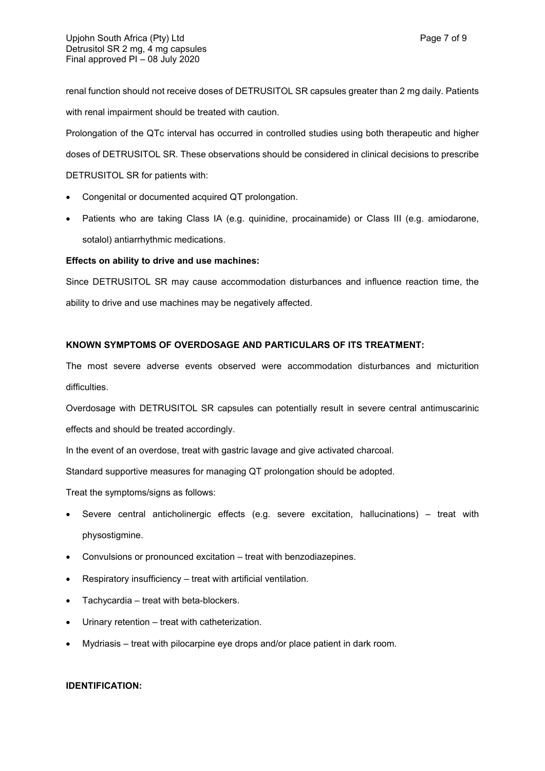renal function should not receive doses of DETRUSITOL SR capsules greater than 2 mg daily. Patients with renal impairment should be treated with caution.

Prolongation of the QTc interval has occurred in controlled studies using both therapeutic and higher doses of DETRUSITOL SR. These observations should be considered in clinical decisions to prescribe DETRUSITOL SR for patients with:

- Congenital or documented acquired QT prolongation.
- Patients who are taking Class IA (e.g. quinidine, procainamide) or Class III (e.g. amiodarone, sotalol) antiarrhythmic medications.

# **Effects on ability to drive and use machines:**

Since DETRUSITOL SR may cause accommodation disturbances and influence reaction time, the ability to drive and use machines may be negatively affected.

# **KNOWN SYMPTOMS OF OVERDOSAGE AND PARTICULARS OF ITS TREATMENT:**

The most severe adverse events observed were accommodation disturbances and micturition difficulties.

Overdosage with DETRUSITOL SR capsules can potentially result in severe central antimuscarinic effects and should be treated accordingly.

In the event of an overdose, treat with gastric lavage and give activated charcoal.

Standard supportive measures for managing QT prolongation should be adopted.

Treat the symptoms/signs as follows:

- Severe central anticholinergic effects (e.g. severe excitation, hallucinations) treat with physostigmine.
- Convulsions or pronounced excitation treat with benzodiazepines.
- Respiratory insufficiency treat with artificial ventilation.
- Tachycardia treat with beta-blockers.
- Urinary retention treat with catheterization.
- Mydriasis treat with pilocarpine eye drops and/or place patient in dark room.

# **IDENTIFICATION:**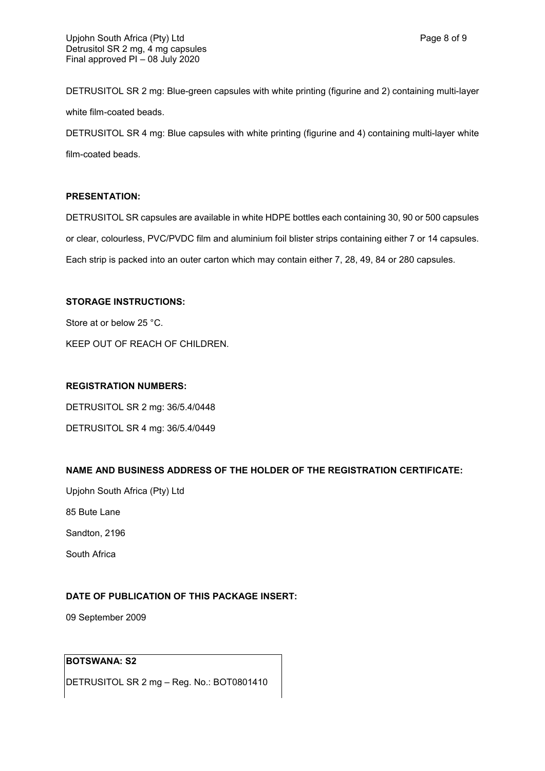DETRUSITOL SR 2 mg: Blue-green capsules with white printing (figurine and 2) containing multi-layer white film-coated beads.

DETRUSITOL SR 4 mg: Blue capsules with white printing (figurine and 4) containing multi-layer white film-coated beads.

### **PRESENTATION:**

DETRUSITOL SR capsules are available in white HDPE bottles each containing 30, 90 or 500 capsules or clear, colourless, PVC/PVDC film and aluminium foil blister strips containing either 7 or 14 capsules. Each strip is packed into an outer carton which may contain either 7, 28, 49, 84 or 280 capsules.

### **STORAGE INSTRUCTIONS:**

Store at or below 25 °C. KEEP OUT OF REACH OF CHILDREN.

### **REGISTRATION NUMBERS:**

DETRUSITOL SR 2 mg: 36/5.4/0448

DETRUSITOL SR 4 mg: 36/5.4/0449

# **NAME AND BUSINESS ADDRESS OF THE HOLDER OF THE REGISTRATION CERTIFICATE:**

Upjohn South Africa (Pty) Ltd 85 Bute Lane

Sandton, 2196

South Africa

# **DATE OF PUBLICATION OF THIS PACKAGE INSERT:**

09 September 2009

# **BOTSWANA: S2**

DETRUSITOL SR 2 mg – Reg. No.: BOT0801410